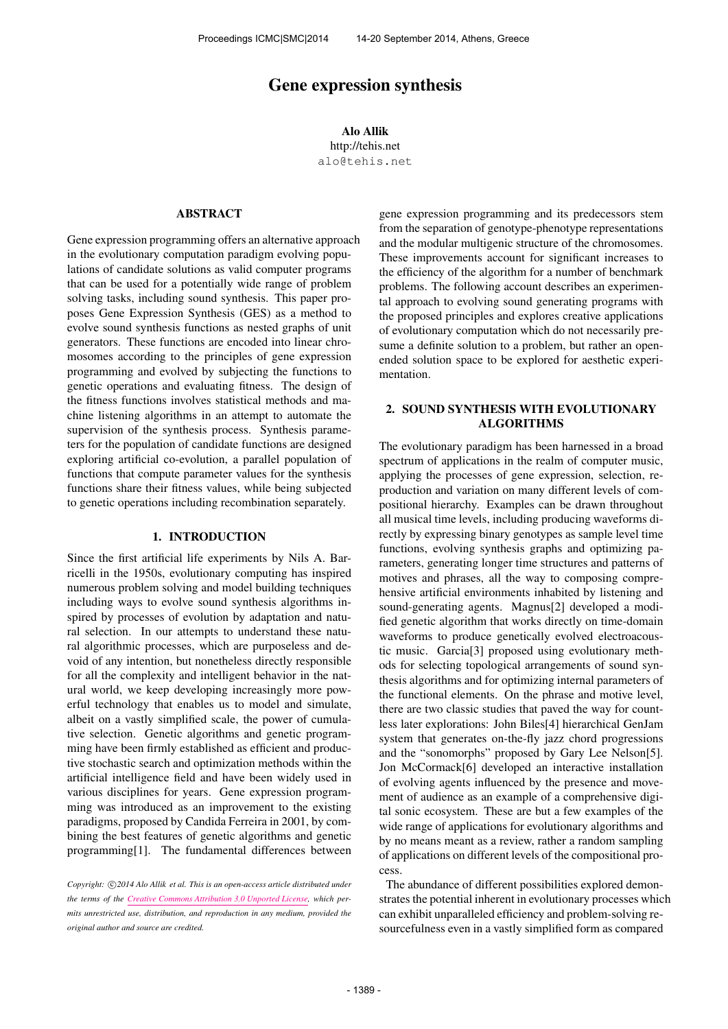# Gene expression synthesis

Alo Allik http://tehis.net [alo@tehis.net](mailto:alo@tehis.net)

# ABSTRACT

Gene expression programming offers an alternative approach in the evolutionary computation paradigm evolving populations of candidate solutions as valid computer programs that can be used for a potentially wide range of problem solving tasks, including sound synthesis. This paper proposes Gene Expression Synthesis (GES) as a method to evolve sound synthesis functions as nested graphs of unit generators. These functions are encoded into linear chromosomes according to the principles of gene expression programming and evolved by subjecting the functions to genetic operations and evaluating fitness. The design of the fitness functions involves statistical methods and machine listening algorithms in an attempt to automate the supervision of the synthesis process. Synthesis parameters for the population of candidate functions are designed exploring artificial co-evolution, a parallel population of functions that compute parameter values for the synthesis functions share their fitness values, while being subjected to genetic operations including recombination separately.

## 1. INTRODUCTION

Since the first artificial life experiments by Nils A. Barricelli in the 1950s, evolutionary computing has inspired numerous problem solving and model building techniques including ways to evolve sound synthesis algorithms inspired by processes of evolution by adaptation and natural selection. In our attempts to understand these natural algorithmic processes, which are purposeless and devoid of any intention, but nonetheless directly responsible for all the complexity and intelligent behavior in the natural world, we keep developing increasingly more powerful technology that enables us to model and simulate, albeit on a vastly simplified scale, the power of cumulative selection. Genetic algorithms and genetic programming have been firmly established as efficient and productive stochastic search and optimization methods within the artificial intelligence field and have been widely used in various disciplines for years. Gene expression programming was introduced as an improvement to the existing paradigms, proposed by Candida Ferreira in 2001, by combining the best features of genetic algorithms and genetic programming[1]. The fundamental differences between gene expression programming and its predecessors stem from the separation of genotype-phenotype representations and the modular multigenic structure of the chromosomes. These improvements account for significant increases to the efficiency of the algorithm for a number of benchmark problems. The following account describes an experimental approach to evolving sound generating programs with the proposed principles and explores creative applications of evolutionary computation which do not necessarily presume a definite solution to a problem, but rather an openended solution space to be explored for aesthetic experimentation.

# 2. SOUND SYNTHESIS WITH EVOLUTIONARY ALGORITHMS

The evolutionary paradigm has been harnessed in a broad spectrum of applications in the realm of computer music, applying the processes of gene expression, selection, reproduction and variation on many different levels of compositional hierarchy. Examples can be drawn throughout all musical time levels, including producing waveforms directly by expressing binary genotypes as sample level time functions, evolving synthesis graphs and optimizing parameters, generating longer time structures and patterns of motives and phrases, all the way to composing comprehensive artificial environments inhabited by listening and sound-generating agents. Magnus[2] developed a modified genetic algorithm that works directly on time-domain waveforms to produce genetically evolved electroacoustic music. Garcia[3] proposed using evolutionary methods for selecting topological arrangements of sound synthesis algorithms and for optimizing internal parameters of the functional elements. On the phrase and motive level, there are two classic studies that paved the way for countless later explorations: John Biles[4] hierarchical GenJam system that generates on-the-fly jazz chord progressions and the "sonomorphs" proposed by Gary Lee Nelson[5]. Jon McCormack[6] developed an interactive installation of evolving agents influenced by the presence and movement of audience as an example of a comprehensive digital sonic ecosystem. These are but a few examples of the wide range of applications for evolutionary algorithms and by no means meant as a review, rather a random sampling of applications on different levels of the compositional process.

The abundance of different possibilities explored demonstrates the potential inherent in evolutionary processes which can exhibit unparalleled efficiency and problem-solving resourcefulness even in a vastly simplified form as compared

Copyright:  $\bigcirc$ 2014 Alo Allik et al. This is an open-access article distributed under *the terms of the [Creative Commons Attribution 3.0 Unported License,](http://creativecommons.org/licenses/by/3.0/) which permits unrestricted use, distribution, and reproduction in any medium, provided the original author and source are credited.*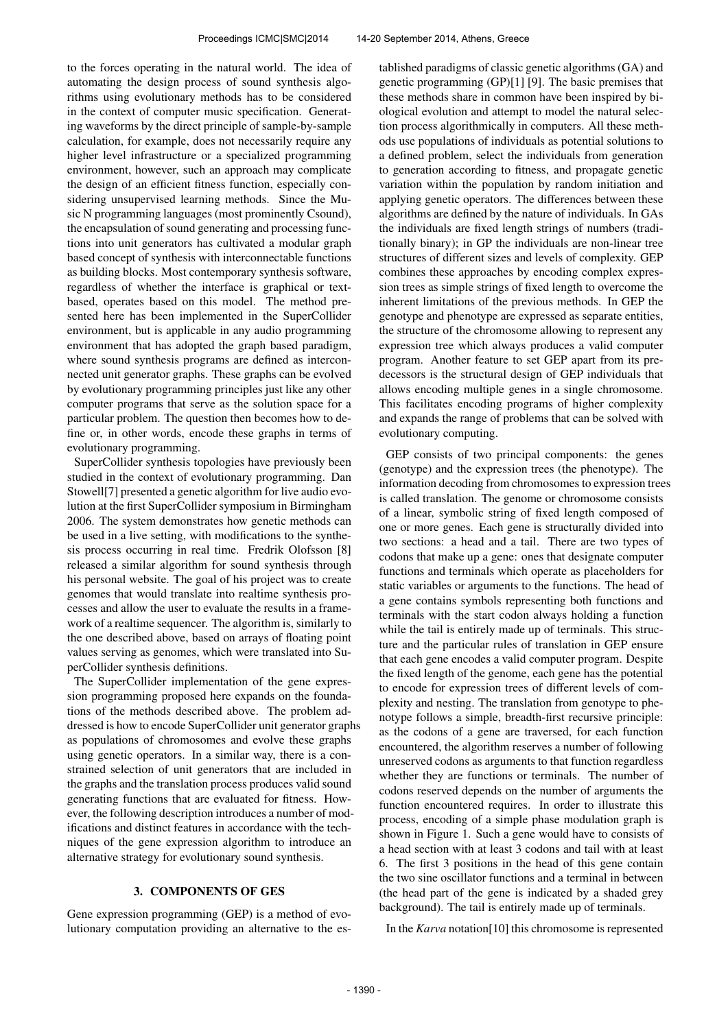to the forces operating in the natural world. The idea of automating the design process of sound synthesis algorithms using evolutionary methods has to be considered in the context of computer music specification. Generating waveforms by the direct principle of sample-by-sample calculation, for example, does not necessarily require any higher level infrastructure or a specialized programming environment, however, such an approach may complicate the design of an efficient fitness function, especially considering unsupervised learning methods. Since the Music N programming languages (most prominently Csound), the encapsulation of sound generating and processing functions into unit generators has cultivated a modular graph based concept of synthesis with interconnectable functions as building blocks. Most contemporary synthesis software, regardless of whether the interface is graphical or textbased, operates based on this model. The method presented here has been implemented in the SuperCollider environment, but is applicable in any audio programming environment that has adopted the graph based paradigm, where sound synthesis programs are defined as interconnected unit generator graphs. These graphs can be evolved by evolutionary programming principles just like any other computer programs that serve as the solution space for a particular problem. The question then becomes how to define or, in other words, encode these graphs in terms of evolutionary programming.

SuperCollider synthesis topologies have previously been studied in the context of evolutionary programming. Dan Stowell[7] presented a genetic algorithm for live audio evolution at the first SuperCollider symposium in Birmingham 2006. The system demonstrates how genetic methods can be used in a live setting, with modifications to the synthesis process occurring in real time. Fredrik Olofsson [8] released a similar algorithm for sound synthesis through his personal website. The goal of his project was to create genomes that would translate into realtime synthesis processes and allow the user to evaluate the results in a framework of a realtime sequencer. The algorithm is, similarly to the one described above, based on arrays of floating point values serving as genomes, which were translated into SuperCollider synthesis definitions.

The SuperCollider implementation of the gene expression programming proposed here expands on the foundations of the methods described above. The problem addressed is how to encode SuperCollider unit generator graphs as populations of chromosomes and evolve these graphs using genetic operators. In a similar way, there is a constrained selection of unit generators that are included in the graphs and the translation process produces valid sound generating functions that are evaluated for fitness. However, the following description introduces a number of modifications and distinct features in accordance with the techniques of the gene expression algorithm to introduce an alternative strategy for evolutionary sound synthesis.

## 3. COMPONENTS OF GES

Gene expression programming (GEP) is a method of evolutionary computation providing an alternative to the established paradigms of classic genetic algorithms (GA) and genetic programming (GP)[1] [9]. The basic premises that these methods share in common have been inspired by biological evolution and attempt to model the natural selection process algorithmically in computers. All these methods use populations of individuals as potential solutions to a defined problem, select the individuals from generation to generation according to fitness, and propagate genetic variation within the population by random initiation and applying genetic operators. The differences between these algorithms are defined by the nature of individuals. In GAs the individuals are fixed length strings of numbers (traditionally binary); in GP the individuals are non-linear tree structures of different sizes and levels of complexity. GEP combines these approaches by encoding complex expression trees as simple strings of fixed length to overcome the inherent limitations of the previous methods. In GEP the genotype and phenotype are expressed as separate entities, the structure of the chromosome allowing to represent any expression tree which always produces a valid computer program. Another feature to set GEP apart from its predecessors is the structural design of GEP individuals that allows encoding multiple genes in a single chromosome. This facilitates encoding programs of higher complexity and expands the range of problems that can be solved with evolutionary computing.

GEP consists of two principal components: the genes (genotype) and the expression trees (the phenotype). The information decoding from chromosomes to expression trees is called translation. The genome or chromosome consists of a linear, symbolic string of fixed length composed of one or more genes. Each gene is structurally divided into two sections: a head and a tail. There are two types of codons that make up a gene: ones that designate computer functions and terminals which operate as placeholders for static variables or arguments to the functions. The head of a gene contains symbols representing both functions and terminals with the start codon always holding a function while the tail is entirely made up of terminals. This structure and the particular rules of translation in GEP ensure that each gene encodes a valid computer program. Despite the fixed length of the genome, each gene has the potential to encode for expression trees of different levels of complexity and nesting. The translation from genotype to phenotype follows a simple, breadth-first recursive principle: as the codons of a gene are traversed, for each function encountered, the algorithm reserves a number of following unreserved codons as arguments to that function regardless whether they are functions or terminals. The number of codons reserved depends on the number of arguments the function encountered requires. In order to illustrate this process, encoding of a simple phase modulation graph is shown in Figure 1. Such a gene would have to consists of a head section with at least 3 codons and tail with at least 6. The first 3 positions in the head of this gene contain the two sine oscillator functions and a terminal in between (the head part of the gene is indicated by a shaded grey background). The tail is entirely made up of terminals.

In the *Karva* notation[10] this chromosome is represented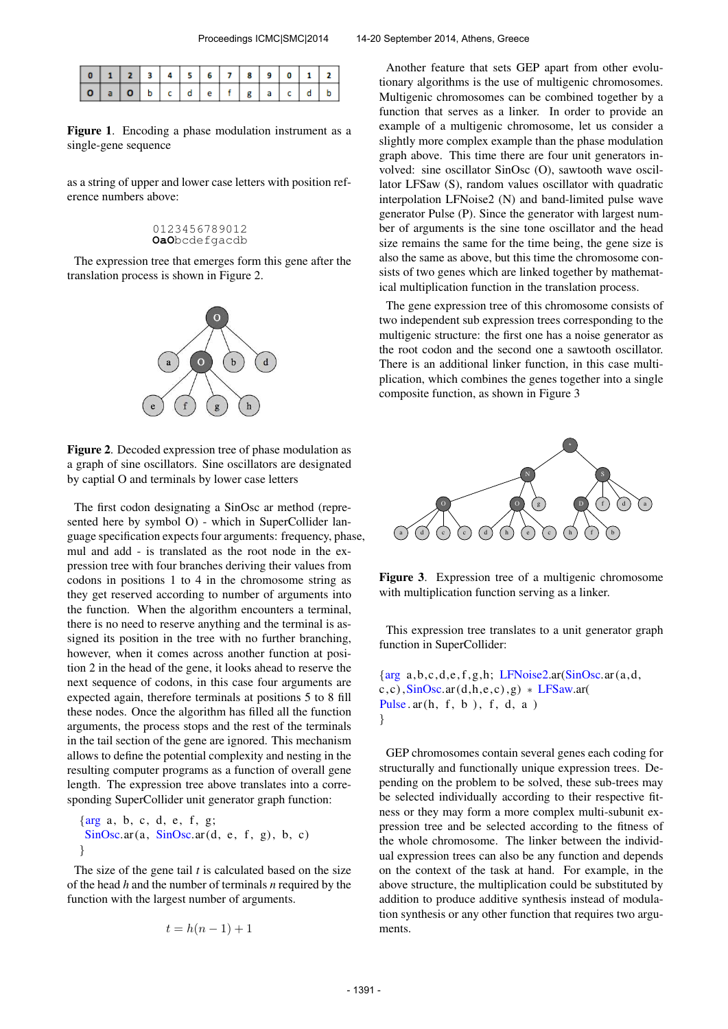| $ 0 1 2 3 4 5 6 7 8 9 0 1 2$ |  |  |  |  |  |  |
|------------------------------|--|--|--|--|--|--|
|                              |  |  |  |  |  |  |

Figure 1. Encoding a phase modulation instrument as a single-gene sequence

as a string of upper and lower case letters with position reference numbers above:

#### 0123456789012 **OaO**bcdefgacdb

The expression tree that emerges form this gene after the translation process is shown in Figure 2.



Figure 2. Decoded expression tree of phase modulation as a graph of sine oscillators. Sine oscillators are designated by captial O and terminals by lower case letters

The first codon designating a SinOsc ar method (represented here by symbol O) - which in SuperCollider language specification expects four arguments: frequency, phase, mul and add - is translated as the root node in the expression tree with four branches deriving their values from codons in positions 1 to 4 in the chromosome string as they get reserved according to number of arguments into the function. When the algorithm encounters a terminal, there is no need to reserve anything and the terminal is assigned its position in the tree with no further branching, however, when it comes across another function at position 2 in the head of the gene, it looks ahead to reserve the next sequence of codons, in this case four arguments are expected again, therefore terminals at positions 5 to 8 fill these nodes. Once the algorithm has filled all the function arguments, the process stops and the rest of the terminals in the tail section of the gene are ignored. This mechanism allows to define the potential complexity and nesting in the resulting computer programs as a function of overall gene length. The expression tree above translates into a corresponding SuperCollider unit generator graph function:

 $\{arg a, b, c, d, e, f, g;$  $SinOsc.ar(a, SinOsc.ar(d, e, f, g), b, c)$ }

The size of the gene tail *t* is calculated based on the size of the head *h* and the number of terminals *n* required by the function with the largest number of arguments.

$$
t = h(n-1) + 1
$$

Another feature that sets GEP apart from other evolutionary algorithms is the use of multigenic chromosomes. Multigenic chromosomes can be combined together by a function that serves as a linker. In order to provide an example of a multigenic chromosome, let us consider a slightly more complex example than the phase modulation graph above. This time there are four unit generators involved: sine oscillator SinOsc (O), sawtooth wave oscillator LFSaw (S), random values oscillator with quadratic interpolation LFNoise2 (N) and band-limited pulse wave generator Pulse (P). Since the generator with largest number of arguments is the sine tone oscillator and the head size remains the same for the time being, the gene size is also the same as above, but this time the chromosome consists of two genes which are linked together by mathematical multiplication function in the translation process.

The gene expression tree of this chromosome consists of two independent sub expression trees corresponding to the multigenic structure: the first one has a noise generator as the root codon and the second one a sawtooth oscillator. There is an additional linker function, in this case multiplication, which combines the genes together into a single composite function, as shown in Figure 3



Figure 3. Expression tree of a multigenic chromosome with multiplication function serving as a linker.

This expression tree translates to a unit generator graph function in SuperCollider:

 $\{arg\ a, b, c, d, e, f, g, h;\ LFNoise2a$ r(SinOsc</u>.ar(a,d,  $c, c$ ),  $SinOsc.ar(d, h, e, c)$ ,  $g$ ) \* LFSaw.ar( Pulse  $ar(h, f, b)$ , f, d, a) }

GEP chromosomes contain several genes each coding for structurally and functionally unique expression trees. Depending on the problem to be solved, these sub-trees may be selected individually according to their respective fitness or they may form a more complex multi-subunit expression tree and be selected according to the fitness of the whole chromosome. The linker between the individual expression trees can also be any function and depends on the context of the task at hand. For example, in the above structure, the multiplication could be substituted by addition to produce additive synthesis instead of modulation synthesis or any other function that requires two arguments.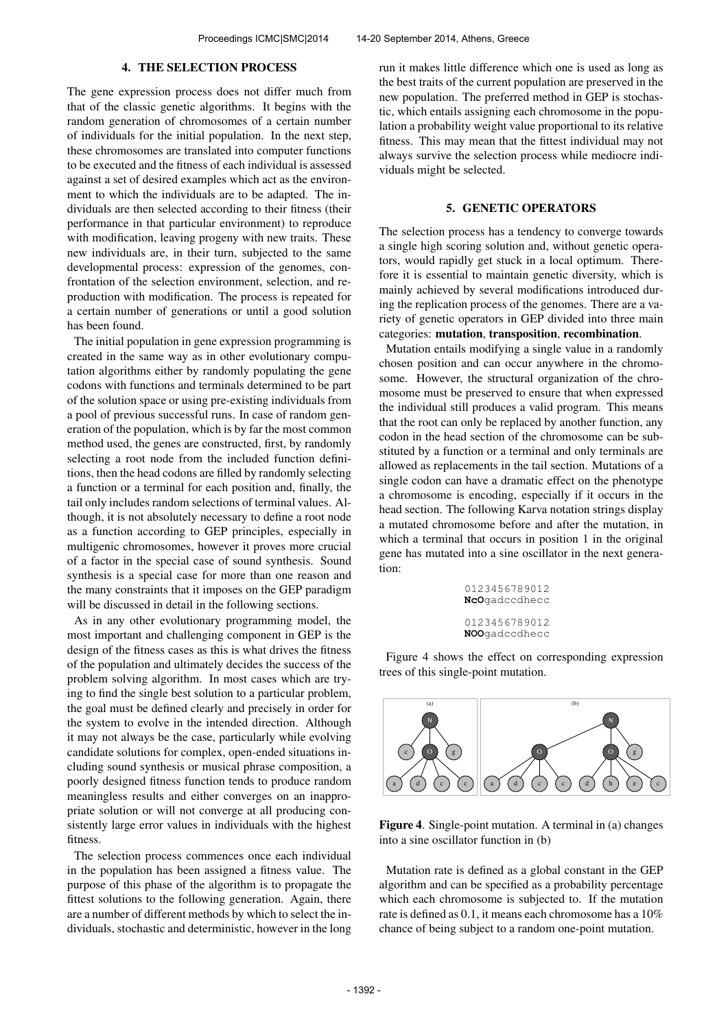### 4. THE SELECTION PROCESS

The gene expression process does not differ much from that of the classic genetic algorithms. It begins with the random generation of chromosomes of a certain number of individuals for the initial population. In the next step, these chromosomes are translated into computer functions to be executed and the fitness of each individual is assessed against a set of desired examples which act as the environment to which the individuals are to be adapted. The individuals are then selected according to their fitness (their performance in that particular environment) to reproduce with modification, leaving progeny with new traits. These new individuals are, in their turn, subjected to the same developmental process: expression of the genomes, confrontation of the selection environment, selection, and reproduction with modification. The process is repeated for a certain number of generations or until a good solution has been found.

The initial population in gene expression programming is created in the same way as in other evolutionary computation algorithms either by randomly populating the gene codons with functions and terminals determined to be part of the solution space or using pre-existing individuals from a pool of previous successful runs. In case of random generation of the population, which is by far the most common method used, the genes are constructed, first, by randomly selecting a root node from the included function definitions, then the head codons are filled by randomly selecting a function or a terminal for each position and, finally, the tail only includes random selections of terminal values. Although, it is not absolutely necessary to define a root node as a function according to GEP principles, especially in multigenic chromosomes, however it proves more crucial of a factor in the special case of sound synthesis. Sound synthesis is a special case for more than one reason and the many constraints that it imposes on the GEP paradigm will be discussed in detail in the following sections.

As in any other evolutionary programming model, the most important and challenging component in GEP is the design of the fitness cases as this is what drives the fitness of the population and ultimately decides the success of the problem solving algorithm. In most cases which are trying to find the single best solution to a particular problem, the goal must be defined clearly and precisely in order for the system to evolve in the intended direction. Although it may not always be the case, particularly while evolving candidate solutions for complex, open-ended situations including sound synthesis or musical phrase composition, a poorly designed fitness function tends to produce random meaningless results and either converges on an inappropriate solution or will not converge at all producing consistently large error values in individuals with the highest fitness.

The selection process commences once each individual in the population has been assigned a fitness value. The purpose of this phase of the algorithm is to propagate the fittest solutions to the following generation. Again, there are a number of different methods by which to select the individuals, stochastic and deterministic, however in the long run it makes little difference which one is used as long as the best traits of the current population are preserved in the new population. The preferred method in GEP is stochastic, which entails assigning each chromosome in the population a probability weight value proportional to its relative fitness. This may mean that the fittest individual may not always survive the selection process while mediocre individuals might be selected.

## 5. GENETIC OPERATORS

The selection process has a tendency to converge towards a single high scoring solution and, without genetic operators, would rapidly get stuck in a local optimum. Therefore it is essential to maintain genetic diversity, which is mainly achieved by several modifications introduced during the replication process of the genomes. There are a variety of genetic operators in GEP divided into three main categories: mutation, transposition, recombination.

Mutation entails modifying a single value in a randomly chosen position and can occur anywhere in the chromosome. However, the structural organization of the chromosome must be preserved to ensure that when expressed the individual still produces a valid program. This means that the root can only be replaced by another function, any codon in the head section of the chromosome can be substituted by a function or a terminal and only terminals are allowed as replacements in the tail section. Mutations of a single codon can have a dramatic effect on the phenotype a chromosome is encoding, especially if it occurs in the head section. The following Karva notation strings display a mutated chromosome before and after the mutation, in which a terminal that occurs in position 1 in the original gene has mutated into a sine oscillator in the next generation:

> 0123456789012 **NcO**gadccdhecc 0123456789012 **NOO**gadccdhecc

Figure 4 shows the effect on corresponding expression trees of this single-point mutation.



Figure 4. Single-point mutation. A terminal in (a) changes into a sine oscillator function in (b)

Mutation rate is defined as a global constant in the GEP algorithm and can be specified as a probability percentage which each chromosome is subjected to. If the mutation rate is defined as 0.1, it means each chromosome has a 10% chance of being subject to a random one-point mutation.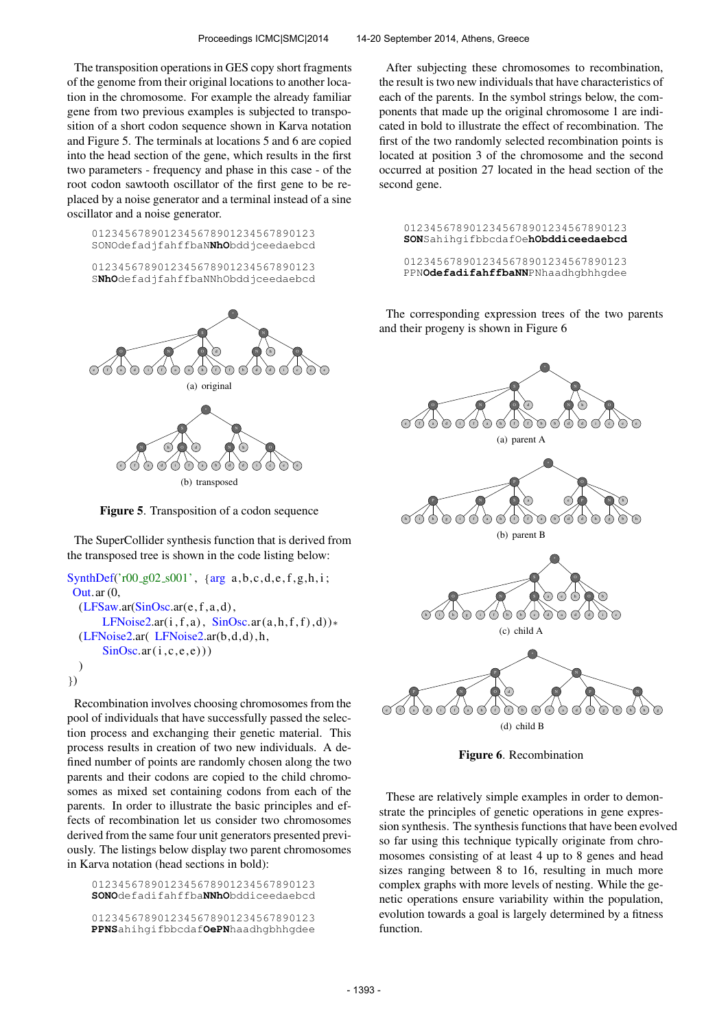The transposition operations in GES copy short fragments of the genome from their original locations to another location in the chromosome. For example the already familiar gene from two previous examples is subjected to transposition of a short codon sequence shown in Karva notation and Figure 5. The terminals at locations 5 and 6 are copied into the head section of the gene, which results in the first two parameters - frequency and phase in this case - of the root codon sawtooth oscillator of the first gene to be replaced by a noise generator and a terminal instead of a sine oscillator and a noise generator.

0123456789012345678901234567890123 SONOdefadjfahffbaN**NhO**bddjceedaebcd

0123456789012345678901234567890123 S**NhO**defadjfahffbaNNhObddjceedaebcd



Figure 5. Transposition of a codon sequence

The SuperCollider synthesis function that is derived from the transposed tree is shown in the code listing below:

```
SynthDef('r00_g02_s001', {arg a,b,c,d,e,f,g,h,i;
Out.ar (0,
  (LFSaw.ar(SinOsc.ar(e, f, a, d)),LFNoise2.ar(i, f, a), SinOsc.ar(a, h, f, f), d))*
  (LFNoise2.ar( LFNoise2.ar(b,d,d) , h,
       SinOsc<u>ar(i, c, e, e))</u>
  )
})
```
Recombination involves choosing chromosomes from the pool of individuals that have successfully passed the selection process and exchanging their genetic material. This process results in creation of two new individuals. A defined number of points are randomly chosen along the two parents and their codons are copied to the child chromosomes as mixed set containing codons from each of the parents. In order to illustrate the basic principles and effects of recombination let us consider two chromosomes derived from the same four unit generators presented previously. The listings below display two parent chromosomes in Karva notation (head sections in bold):

0123456789012345678901234567890123 **SONO**defadifahffba**NNhO**bddiceedaebcd 0123456789012345678901234567890123 **PPNS**ahihgifbbcdaf**OePN**haadhgbhhgdee

After subjecting these chromosomes to recombination, the result is two new individuals that have characteristics of each of the parents. In the symbol strings below, the components that made up the original chromosome 1 are indicated in bold to illustrate the effect of recombination. The first of the two randomly selected recombination points is located at position 3 of the chromosome and the second occurred at position 27 located in the head section of the second gene.

0123456789012345678901234567890123 **SON**SahihgifbbcdafOe**hObddiceedaebcd**

0123456789012345678901234567890123 PPN**OdefadifahffbaNN**PNhaadhgbhhgdee

The corresponding expression trees of the two parents and their progeny is shown in Figure 6



Figure 6. Recombination

These are relatively simple examples in order to demonstrate the principles of genetic operations in gene expression synthesis. The synthesis functions that have been evolved so far using this technique typically originate from chromosomes consisting of at least 4 up to 8 genes and head sizes ranging between 8 to 16, resulting in much more complex graphs with more levels of nesting. While the genetic operations ensure variability within the population, evolution towards a goal is largely determined by a fitness function.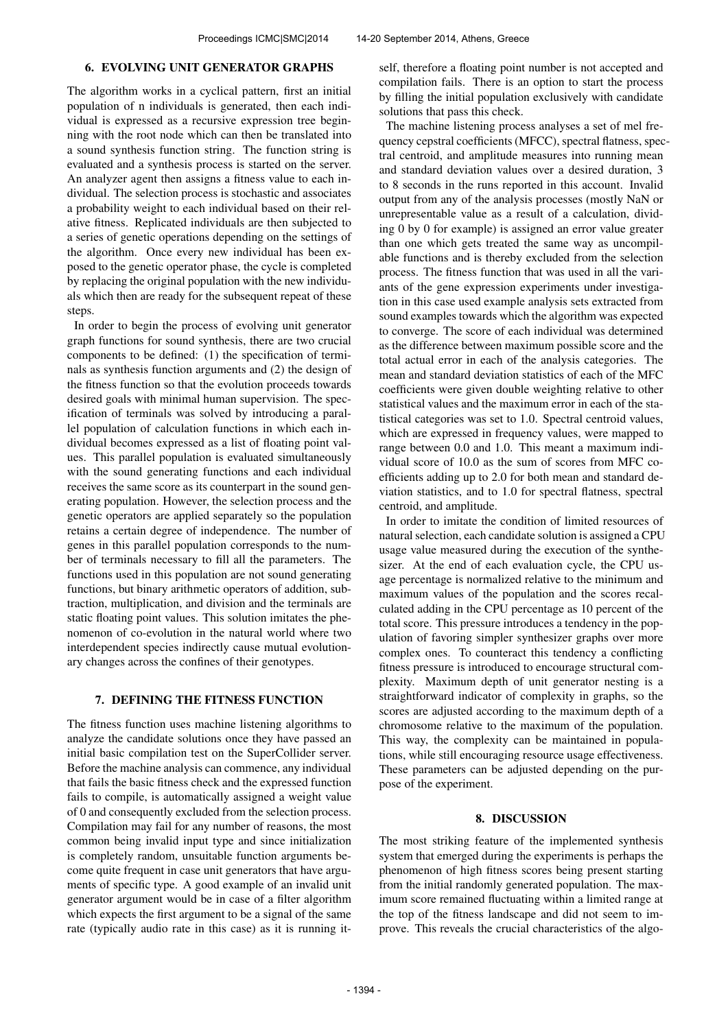### 6. EVOLVING UNIT GENERATOR GRAPHS

The algorithm works in a cyclical pattern, first an initial population of n individuals is generated, then each individual is expressed as a recursive expression tree beginning with the root node which can then be translated into a sound synthesis function string. The function string is evaluated and a synthesis process is started on the server. An analyzer agent then assigns a fitness value to each individual. The selection process is stochastic and associates a probability weight to each individual based on their relative fitness. Replicated individuals are then subjected to a series of genetic operations depending on the settings of the algorithm. Once every new individual has been exposed to the genetic operator phase, the cycle is completed by replacing the original population with the new individuals which then are ready for the subsequent repeat of these steps.

In order to begin the process of evolving unit generator graph functions for sound synthesis, there are two crucial components to be defined: (1) the specification of terminals as synthesis function arguments and (2) the design of the fitness function so that the evolution proceeds towards desired goals with minimal human supervision. The specification of terminals was solved by introducing a parallel population of calculation functions in which each individual becomes expressed as a list of floating point values. This parallel population is evaluated simultaneously with the sound generating functions and each individual receives the same score as its counterpart in the sound generating population. However, the selection process and the genetic operators are applied separately so the population retains a certain degree of independence. The number of genes in this parallel population corresponds to the number of terminals necessary to fill all the parameters. The functions used in this population are not sound generating functions, but binary arithmetic operators of addition, subtraction, multiplication, and division and the terminals are static floating point values. This solution imitates the phenomenon of co-evolution in the natural world where two interdependent species indirectly cause mutual evolutionary changes across the confines of their genotypes.

# 7. DEFINING THE FITNESS FUNCTION

The fitness function uses machine listening algorithms to analyze the candidate solutions once they have passed an initial basic compilation test on the SuperCollider server. Before the machine analysis can commence, any individual that fails the basic fitness check and the expressed function fails to compile, is automatically assigned a weight value of 0 and consequently excluded from the selection process. Compilation may fail for any number of reasons, the most common being invalid input type and since initialization is completely random, unsuitable function arguments become quite frequent in case unit generators that have arguments of specific type. A good example of an invalid unit generator argument would be in case of a filter algorithm which expects the first argument to be a signal of the same rate (typically audio rate in this case) as it is running itself, therefore a floating point number is not accepted and compilation fails. There is an option to start the process by filling the initial population exclusively with candidate solutions that pass this check.

The machine listening process analyses a set of mel frequency cepstral coefficients (MFCC), spectral flatness, spectral centroid, and amplitude measures into running mean and standard deviation values over a desired duration, 3 to 8 seconds in the runs reported in this account. Invalid output from any of the analysis processes (mostly NaN or unrepresentable value as a result of a calculation, dividing 0 by 0 for example) is assigned an error value greater than one which gets treated the same way as uncompilable functions and is thereby excluded from the selection process. The fitness function that was used in all the variants of the gene expression experiments under investigation in this case used example analysis sets extracted from sound examples towards which the algorithm was expected to converge. The score of each individual was determined as the difference between maximum possible score and the total actual error in each of the analysis categories. The mean and standard deviation statistics of each of the MFC coefficients were given double weighting relative to other statistical values and the maximum error in each of the statistical categories was set to 1.0. Spectral centroid values, which are expressed in frequency values, were mapped to range between 0.0 and 1.0. This meant a maximum individual score of 10.0 as the sum of scores from MFC coefficients adding up to 2.0 for both mean and standard deviation statistics, and to 1.0 for spectral flatness, spectral centroid, and amplitude.

In order to imitate the condition of limited resources of natural selection, each candidate solution is assigned a CPU usage value measured during the execution of the synthesizer. At the end of each evaluation cycle, the CPU usage percentage is normalized relative to the minimum and maximum values of the population and the scores recalculated adding in the CPU percentage as 10 percent of the total score. This pressure introduces a tendency in the population of favoring simpler synthesizer graphs over more complex ones. To counteract this tendency a conflicting fitness pressure is introduced to encourage structural complexity. Maximum depth of unit generator nesting is a straightforward indicator of complexity in graphs, so the scores are adjusted according to the maximum depth of a chromosome relative to the maximum of the population. This way, the complexity can be maintained in populations, while still encouraging resource usage effectiveness. These parameters can be adjusted depending on the purpose of the experiment.

#### 8. DISCUSSION

The most striking feature of the implemented synthesis system that emerged during the experiments is perhaps the phenomenon of high fitness scores being present starting from the initial randomly generated population. The maximum score remained fluctuating within a limited range at the top of the fitness landscape and did not seem to improve. This reveals the crucial characteristics of the algo